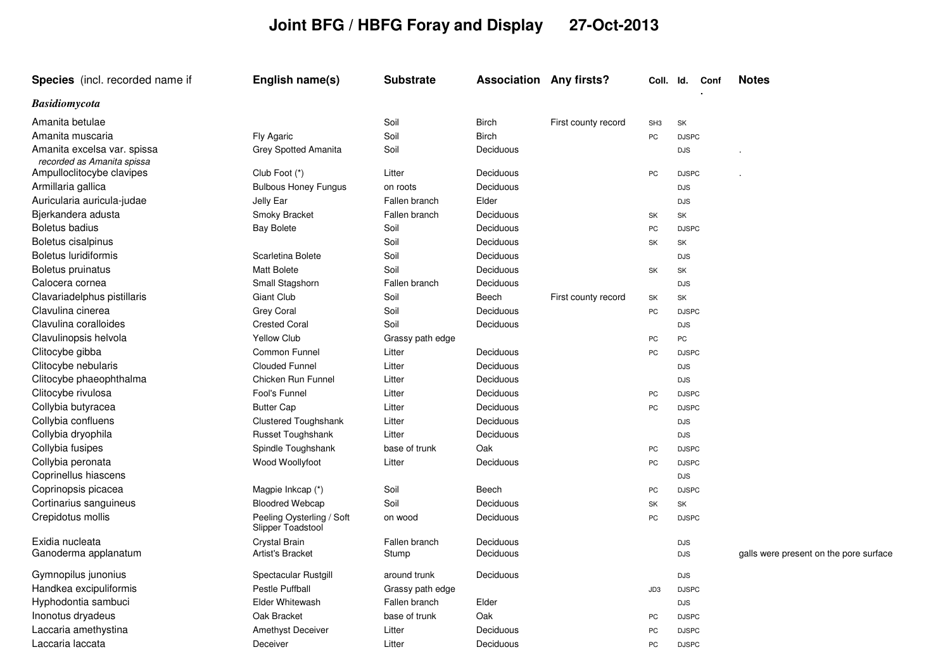## **Joint BFG / HBFG Foray and Display 27-Oct-2013**

| Species (incl. recorded name if                           | English name(s)                                | <b>Substrate</b> | <b>Association Any firsts?</b> |                     | Coll. Id.       |              | Conf | <b>Notes</b>                           |
|-----------------------------------------------------------|------------------------------------------------|------------------|--------------------------------|---------------------|-----------------|--------------|------|----------------------------------------|
| <b>Basidiomycota</b>                                      |                                                |                  |                                |                     |                 |              |      |                                        |
| Amanita betulae                                           |                                                | Soil             | <b>Birch</b>                   | First county record | SH <sub>3</sub> | SK           |      |                                        |
| Amanita muscaria                                          | Fly Agaric                                     | Soil             | <b>Birch</b>                   |                     | PC              | <b>DJSPC</b> |      |                                        |
| Amanita excelsa var. spissa<br>recorded as Amanita spissa | Grey Spotted Amanita                           | Soil             | Deciduous                      |                     |                 | <b>DJS</b>   |      |                                        |
| Ampulloclitocybe clavipes                                 | Club Foot (*)                                  | Litter           | Deciduous                      |                     | PC              | <b>DJSPC</b> |      |                                        |
| Armillaria gallica                                        | <b>Bulbous Honey Fungus</b>                    | on roots         | Deciduous                      |                     |                 | <b>DJS</b>   |      |                                        |
| Auricularia auricula-judae                                | Jelly Ear                                      | Fallen branch    | Elder                          |                     |                 | <b>DJS</b>   |      |                                        |
| Bjerkandera adusta                                        | Smoky Bracket                                  | Fallen branch    | Deciduous                      |                     | SK              | SK           |      |                                        |
| Boletus badius                                            | <b>Bay Bolete</b>                              | Soil             | Deciduous                      |                     | PC              | <b>DJSPC</b> |      |                                        |
| Boletus cisalpinus                                        |                                                | Soil             | Deciduous                      |                     | SK              | SK           |      |                                        |
| <b>Boletus luridiformis</b>                               | Scarletina Bolete                              | Soil             | Deciduous                      |                     |                 | <b>DJS</b>   |      |                                        |
| Boletus pruinatus                                         | <b>Matt Bolete</b>                             | Soil             | Deciduous                      |                     | SK              | SK           |      |                                        |
| Calocera cornea                                           | Small Stagshorn                                | Fallen branch    | Deciduous                      |                     |                 | <b>DJS</b>   |      |                                        |
| Clavariadelphus pistillaris                               | Giant Club                                     | Soil             | Beech                          | First county record | SK              | SK           |      |                                        |
| Clavulina cinerea                                         | <b>Grey Coral</b>                              | Soil             | Deciduous                      |                     | PC              | <b>DJSPC</b> |      |                                        |
| Clavulina coralloides                                     | <b>Crested Coral</b>                           | Soil             | Deciduous                      |                     |                 | <b>DJS</b>   |      |                                        |
| Clavulinopsis helvola                                     | <b>Yellow Club</b>                             | Grassy path edge |                                |                     | PC              | PC           |      |                                        |
| Clitocybe gibba                                           | <b>Common Funnel</b>                           | Litter           | Deciduous                      |                     | PC              | <b>DJSPC</b> |      |                                        |
| Clitocybe nebularis                                       | <b>Clouded Funnel</b>                          | Litter           | Deciduous                      |                     |                 | <b>DJS</b>   |      |                                        |
| Clitocybe phaeophthalma                                   | Chicken Run Funnel                             | Litter           | Deciduous                      |                     |                 | <b>DJS</b>   |      |                                        |
| Clitocybe rivulosa                                        | Fool's Funnel                                  | Litter           | Deciduous                      |                     | PC              | <b>DJSPC</b> |      |                                        |
| Collybia butyracea                                        | <b>Butter Cap</b>                              | Litter           | Deciduous                      |                     | PC              | <b>DJSPC</b> |      |                                        |
| Collybia confluens                                        | <b>Clustered Toughshank</b>                    | Litter           | Deciduous                      |                     |                 | <b>DJS</b>   |      |                                        |
| Collybia dryophila                                        | Russet Toughshank                              | Litter           | Deciduous                      |                     |                 | <b>DJS</b>   |      |                                        |
| Collybia fusipes                                          | Spindle Toughshank                             | base of trunk    | Oak                            |                     | PC              | <b>DJSPC</b> |      |                                        |
| Collybia peronata                                         | Wood Woollyfoot                                | Litter           | Deciduous                      |                     | PC              | <b>DJSPC</b> |      |                                        |
| Coprinellus hiascens                                      |                                                |                  |                                |                     |                 | <b>DJS</b>   |      |                                        |
| Coprinopsis picacea                                       | Magpie Inkcap (*)                              | Soil             | Beech                          |                     | PC              | <b>DJSPC</b> |      |                                        |
| Cortinarius sanguineus                                    | <b>Bloodred Webcap</b>                         | Soil             | Deciduous                      |                     | SK              | SK           |      |                                        |
| Crepidotus mollis                                         | Peeling Oysterling / Soft<br>Slipper Toadstool | on wood          | Deciduous                      |                     | PC              | <b>DJSPC</b> |      |                                        |
| Exidia nucleata                                           | Crystal Brain                                  | Fallen branch    | Deciduous                      |                     |                 | <b>DJS</b>   |      |                                        |
| Ganoderma applanatum                                      | Artist's Bracket                               | Stump            | Deciduous                      |                     |                 | <b>DJS</b>   |      | galls were present on the pore surface |
| Gymnopilus junonius                                       | Spectacular Rustgill                           | around trunk     | Deciduous                      |                     |                 | <b>DJS</b>   |      |                                        |
| Handkea excipuliformis                                    | <b>Pestle Puffball</b>                         | Grassy path edge |                                |                     | JD3             | <b>DJSPC</b> |      |                                        |
| Hyphodontia sambuci                                       | <b>Elder Whitewash</b>                         | Fallen branch    | Elder                          |                     |                 | <b>DJS</b>   |      |                                        |
| Inonotus dryadeus                                         | Oak Bracket                                    | base of trunk    | Oak                            |                     | PC              | <b>DJSPC</b> |      |                                        |
| Laccaria amethystina                                      | <b>Amethyst Deceiver</b>                       | Litter           | Deciduous                      |                     | PC              | <b>DJSPC</b> |      |                                        |
| Laccaria laccata                                          | Deceiver                                       | Litter           | Deciduous                      |                     | PC              | <b>DJSPC</b> |      |                                        |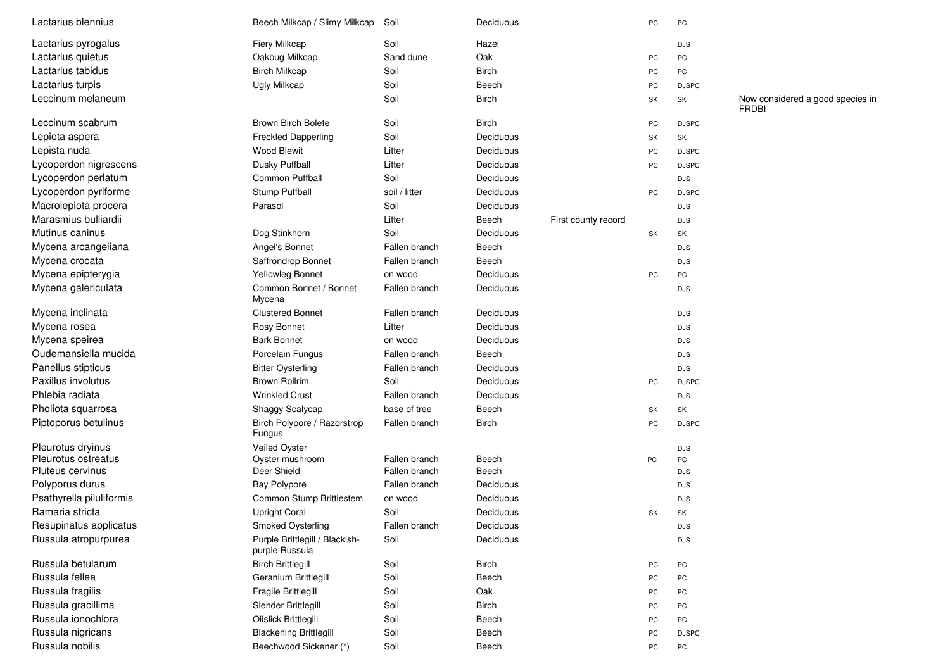| Lactarius blennius       | Beech Milkcap / Slimy Milkcap                    | Soil          | Deciduous    |                     | PC | PC           |                                                  |
|--------------------------|--------------------------------------------------|---------------|--------------|---------------------|----|--------------|--------------------------------------------------|
| Lactarius pyrogalus      | Fiery Milkcap                                    | Soil          | Hazel        |                     |    | <b>DJS</b>   |                                                  |
| Lactarius quietus        | Oakbug Milkcap                                   | Sand dune     | Oak          |                     | PC | PC           |                                                  |
| Lactarius tabidus        | <b>Birch Milkcap</b>                             | Soil          | <b>Birch</b> |                     | PC | PC           |                                                  |
| Lactarius turpis         | <b>Ugly Milkcap</b>                              | Soil          | Beech        |                     | PC | <b>DJSPC</b> |                                                  |
| Leccinum melaneum        |                                                  | Soil          | <b>Birch</b> |                     | SK | SK           | Now considered a good species in<br><b>FRDBI</b> |
| Leccinum scabrum         | <b>Brown Birch Bolete</b>                        | Soil          | <b>Birch</b> |                     | PC | <b>DJSPC</b> |                                                  |
| Lepiota aspera           | <b>Freckled Dapperling</b>                       | Soil          | Deciduous    |                     | SK | SK           |                                                  |
| Lepista nuda             | Wood Blewit                                      | Litter        | Deciduous    |                     | PC | <b>DJSPC</b> |                                                  |
| Lycoperdon nigrescens    | Dusky Puffball                                   | Litter        | Deciduous    |                     | PC | <b>DJSPC</b> |                                                  |
| Lycoperdon perlatum      | Common Puffball                                  | Soil          | Deciduous    |                     |    | <b>DJS</b>   |                                                  |
| Lycoperdon pyriforme     | Stump Puffball                                   | soil / litter | Deciduous    |                     | PC | <b>DJSPC</b> |                                                  |
| Macrolepiota procera     | Parasol                                          | Soil          | Deciduous    |                     |    | <b>DJS</b>   |                                                  |
| Marasmius bulliardii     |                                                  | Litter        | Beech        | First county record |    | <b>DJS</b>   |                                                  |
| Mutinus caninus          | Dog Stinkhorn                                    | Soil          | Deciduous    |                     | SK | SK           |                                                  |
| Mycena arcangeliana      | Angel's Bonnet                                   | Fallen branch | Beech        |                     |    | <b>DJS</b>   |                                                  |
| Mycena crocata           | Saffrondrop Bonnet                               | Fallen branch | Beech        |                     |    | <b>DJS</b>   |                                                  |
| Mycena epipterygia       | Yellowleg Bonnet                                 | on wood       | Deciduous    |                     | PC | PC           |                                                  |
| Mycena galericulata      | Common Bonnet / Bonnet<br>Mycena                 | Fallen branch | Deciduous    |                     |    | <b>DJS</b>   |                                                  |
| Mycena inclinata         | <b>Clustered Bonnet</b>                          | Fallen branch | Deciduous    |                     |    | <b>DJS</b>   |                                                  |
| Mycena rosea             | Rosy Bonnet                                      | Litter        | Deciduous    |                     |    | <b>DJS</b>   |                                                  |
| Mycena speirea           | <b>Bark Bonnet</b>                               | on wood       | Deciduous    |                     |    | <b>DJS</b>   |                                                  |
| Oudemansiella mucida     | Porcelain Fungus                                 | Fallen branch | Beech        |                     |    | <b>DJS</b>   |                                                  |
| Panellus stipticus       | <b>Bitter Oysterling</b>                         | Fallen branch | Deciduous    |                     |    | <b>DJS</b>   |                                                  |
| Paxillus involutus       | <b>Brown Rollrim</b>                             | Soil          | Deciduous    |                     | PC | <b>DJSPC</b> |                                                  |
| Phlebia radiata          | <b>Wrinkled Crust</b>                            | Fallen branch | Deciduous    |                     |    | <b>DJS</b>   |                                                  |
| Pholiota squarrosa       | Shaggy Scalycap                                  | base of tree  | Beech        |                     | SK | SK           |                                                  |
| Piptoporus betulinus     | Birch Polypore / Razorstrop<br>Fungus            | Fallen branch | <b>Birch</b> |                     | PC | <b>DJSPC</b> |                                                  |
| Pleurotus dryinus        | Veiled Oyster                                    |               |              |                     |    | <b>DJS</b>   |                                                  |
| Pleurotus ostreatus      | Oyster mushroom                                  | Fallen branch | Beech        |                     | PC | PC           |                                                  |
| Pluteus cervinus         | Deer Shield                                      | Fallen branch | Beech        |                     |    | <b>DJS</b>   |                                                  |
| Polyporus durus          | <b>Bay Polypore</b>                              | Fallen branch | Deciduous    |                     |    | <b>DJS</b>   |                                                  |
| Psathyrella piluliformis | Common Stump Brittlestem                         | on wood       | Deciduous    |                     |    | <b>DJS</b>   |                                                  |
| Ramaria stricta          | <b>Upright Coral</b>                             | Soil          | Deciduous    |                     | SK | SK           |                                                  |
| Resupinatus applicatus   | Smoked Oysterling                                | Fallen branch | Deciduous    |                     |    | DJS          |                                                  |
| Russula atropurpurea     | Purple Brittlegill / Blackish-<br>purple Russula | Soil          | Deciduous    |                     |    | DJS          |                                                  |
| Russula betularum        | <b>Birch Brittlegill</b>                         | Soil          | <b>Birch</b> |                     | PC | ${\sf PC}$   |                                                  |
| Russula fellea           | Geranium Brittlegill                             | Soil          | Beech        |                     | PC | ${\sf PC}$   |                                                  |
| Russula fragilis         | Fragile Brittlegill                              | Soil          | Oak          |                     | PC | PC           |                                                  |
| Russula gracillima       | Slender Brittlegill                              | Soil          | <b>Birch</b> |                     | PC | PC           |                                                  |
| Russula ionochlora       | <b>Oilslick Brittlegill</b>                      | Soil          | Beech        |                     | PC | ${\sf PC}$   |                                                  |
| Russula nigricans        | <b>Blackening Brittlegill</b>                    | Soil          | Beech        |                     | PC | <b>DJSPC</b> |                                                  |
| Russula nobilis          | Beechwood Sickener (*)                           | Soil          | Beech        |                     | PC | PC           |                                                  |
|                          |                                                  |               |              |                     |    |              |                                                  |